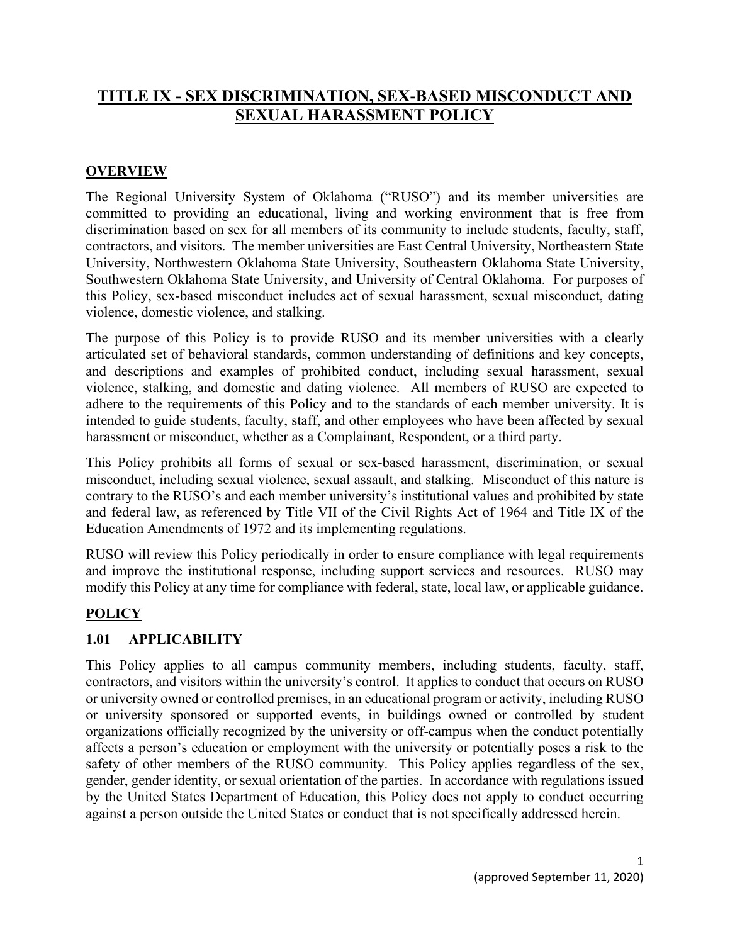# **TITLE IX - SEX DISCRIMINATION, SEX-BASED MISCONDUCT AND SEXUAL HARASSMENT POLICY**

#### **OVERVIEW**

The Regional University System of Oklahoma ("RUSO") and its member universities are committed to providing an educational, living and working environment that is free from discrimination based on sex for all members of its community to include students, faculty, staff, contractors, and visitors. The member universities are East Central University, Northeastern State University, Northwestern Oklahoma State University, Southeastern Oklahoma State University, Southwestern Oklahoma State University, and University of Central Oklahoma. For purposes of this Policy, sex-based misconduct includes act of sexual harassment, sexual misconduct, dating violence, domestic violence, and stalking.

The purpose of this Policy is to provide RUSO and its member universities with a clearly articulated set of behavioral standards, common understanding of definitions and key concepts, and descriptions and examples of prohibited conduct, including sexual harassment, sexual violence, stalking, and domestic and dating violence. All members of RUSO are expected to adhere to the requirements of this Policy and to the standards of each member university. It is intended to guide students, faculty, staff, and other employees who have been affected by sexual harassment or misconduct, whether as a Complainant, Respondent, or a third party.

This Policy prohibits all forms of sexual or sex-based harassment, discrimination, or sexual misconduct, including sexual violence, sexual assault, and stalking. Misconduct of this nature is contrary to the RUSO's and each member university's institutional values and prohibited by state and federal law, as referenced by Title VII of the Civil Rights Act of 1964 and Title IX of the Education Amendments of 1972 and its implementing regulations.

RUSO will review this Policy periodically in order to ensure compliance with legal requirements and improve the institutional response, including support services and resources. RUSO may modify this Policy at any time for compliance with federal, state, local law, or applicable guidance.

## **POLICY**

## **1.01 APPLICABILITY**

This Policy applies to all campus community members, including students, faculty, staff, contractors, and visitors within the university's control. It applies to conduct that occurs on RUSO or university owned or controlled premises, in an educational program or activity, including RUSO or university sponsored or supported events, in buildings owned or controlled by student organizations officially recognized by the university or off-campus when the conduct potentially affects a person's education or employment with the university or potentially poses a risk to the safety of other members of the RUSO community. This Policy applies regardless of the sex, gender, gender identity, or sexual orientation of the parties. In accordance with regulations issued by the United States Department of Education, this Policy does not apply to conduct occurring against a person outside the United States or conduct that is not specifically addressed herein.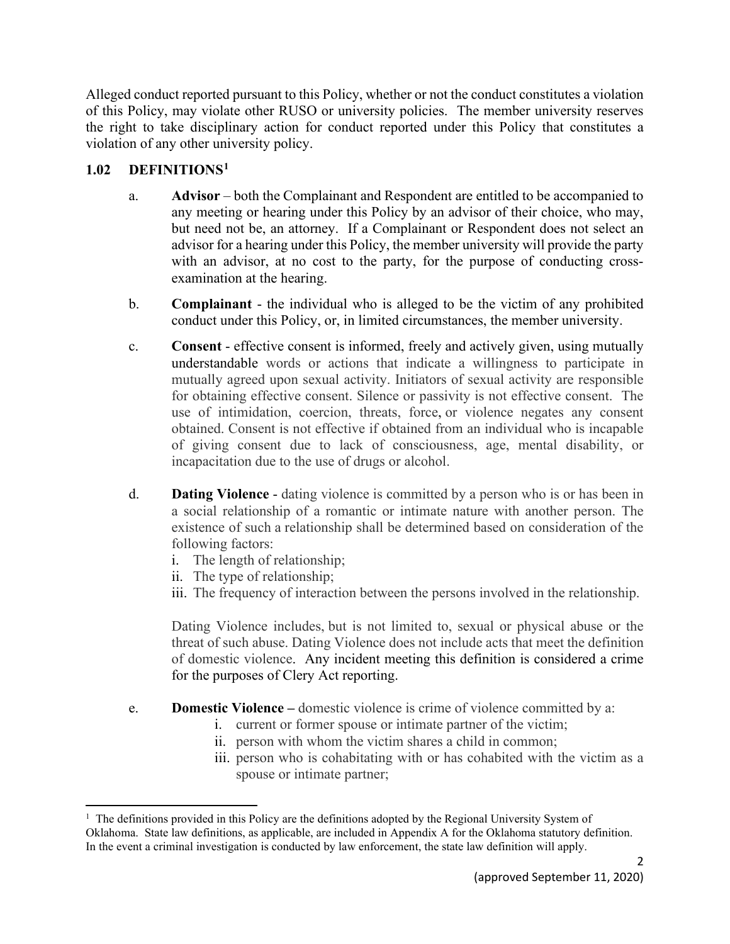Alleged conduct reported pursuant to this Policy, whether or not the conduct constitutes a violation of this Policy, may violate other RUSO or university policies. The member university reserves the right to take disciplinary action for conduct reported under this Policy that constitutes a violation of any other university policy.

#### **1.02 DEFINITIONS[1](#page-1-0)**

- a. **Advisor** both the Complainant and Respondent are entitled to be accompanied to any meeting or hearing under this Policy by an advisor of their choice, who may, but need not be, an attorney. If a Complainant or Respondent does not select an advisor for a hearing under this Policy, the member university will provide the party with an advisor, at no cost to the party, for the purpose of conducting crossexamination at the hearing.
- b. **Complainant**  the individual who is alleged to be the victim of any prohibited conduct under this Policy, or, in limited circumstances, the member university.
- c. **Consent**  effective consent is informed, freely and actively given, using mutually understandable words or actions that indicate a willingness to participate in mutually agreed upon sexual activity. Initiators of sexual activity are responsible for obtaining effective consent. Silence or passivity is not effective consent. The use of intimidation, coercion, threats, force, or violence negates any consent obtained. Consent is not effective if obtained from an individual who is incapable of giving consent due to lack of consciousness, age, mental disability, or incapacitation due to the use of drugs or alcohol.
- d. **Dating Violence** dating violence is committed by a person who is or has been in a social relationship of a romantic or intimate nature with another person. The existence of such a relationship shall be determined based on consideration of the following factors:
	- i. The length of relationship;
	- ii. The type of relationship;
	- iii. The frequency of interaction between the persons involved in the relationship.

Dating Violence includes, but is not limited to, sexual or physical abuse or the threat of such abuse. Dating Violence does not include acts that meet the definition of domestic violence. Any incident meeting this definition is considered a crime for the purposes of Clery Act reporting.

- e. **Domestic Violence –** domestic violence is crime of violence committed by a:
	- i. current or former spouse or intimate partner of the victim;
	- ii. person with whom the victim shares a child in common;
	- iii. person who is cohabitating with or has cohabited with the victim as a spouse or intimate partner;

<span id="page-1-0"></span><sup>&</sup>lt;sup>1</sup> The definitions provided in this Policy are the definitions adopted by the Regional University System of Oklahoma. State law definitions, as applicable, are included in Appendix A for the Oklahoma statutory definition. In the event a criminal investigation is conducted by law enforcement, the state law definition will apply.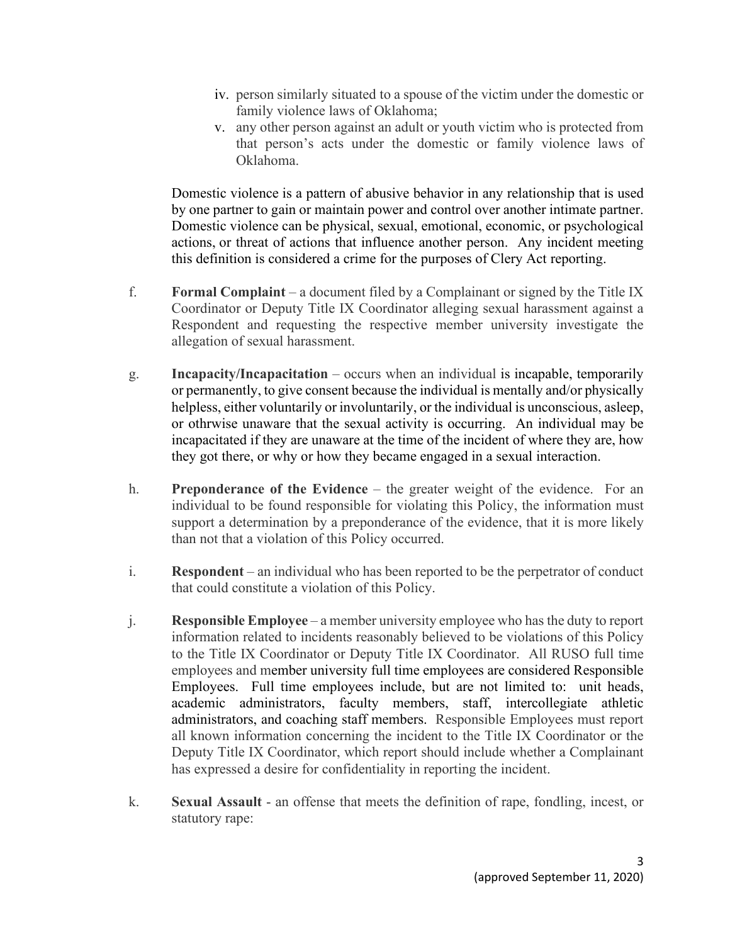- iv. person similarly situated to a spouse of the victim under the domestic or family violence laws of Oklahoma;
- v. any other person against an adult or youth victim who is protected from that person's acts under the domestic or family violence laws of Oklahoma.

Domestic violence is a pattern of abusive behavior in any relationship that is used by one partner to gain or maintain power and control over another intimate partner. Domestic violence can be physical, sexual, emotional, economic, or psychological actions, or threat of actions that influence another person. Any incident meeting this definition is considered a crime for the purposes of Clery Act reporting.

- f. **Formal Complaint** a document filed by a Complainant or signed by the Title IX Coordinator or Deputy Title IX Coordinator alleging sexual harassment against a Respondent and requesting the respective member university investigate the allegation of sexual harassment.
- g. **Incapacity/Incapacitation**  occurs when an individual is incapable, temporarily or permanently, to give consent because the individual is mentally and/or physically helpless, either voluntarily or involuntarily, or the individual is unconscious, asleep, or othrwise unaware that the sexual activity is occurring. An individual may be incapacitated if they are unaware at the time of the incident of where they are, how they got there, or why or how they became engaged in a sexual interaction.
- h. **Preponderance of the Evidence**  the greater weight of the evidence. For an individual to be found responsible for violating this Policy, the information must support a determination by a preponderance of the evidence, that it is more likely than not that a violation of this Policy occurred.
- i. **Respondent** an individual who has been reported to be the perpetrator of conduct that could constitute a violation of this Policy.
- j. **Responsible Employee** a member university employee who has the duty to report information related to incidents reasonably believed to be violations of this Policy to the Title IX Coordinator or Deputy Title IX Coordinator. All RUSO full time employees and member university full time employees are considered Responsible Employees. Full time employees include, but are not limited to: unit heads, academic administrators, faculty members, staff, intercollegiate athletic administrators, and coaching staff members. Responsible Employees must report all known information concerning the incident to the Title IX Coordinator or the Deputy Title IX Coordinator, which report should include whether a Complainant has expressed a desire for confidentiality in reporting the incident.
- k. **Sexual Assault**  an offense that meets the definition of rape, fondling, incest, or statutory rape: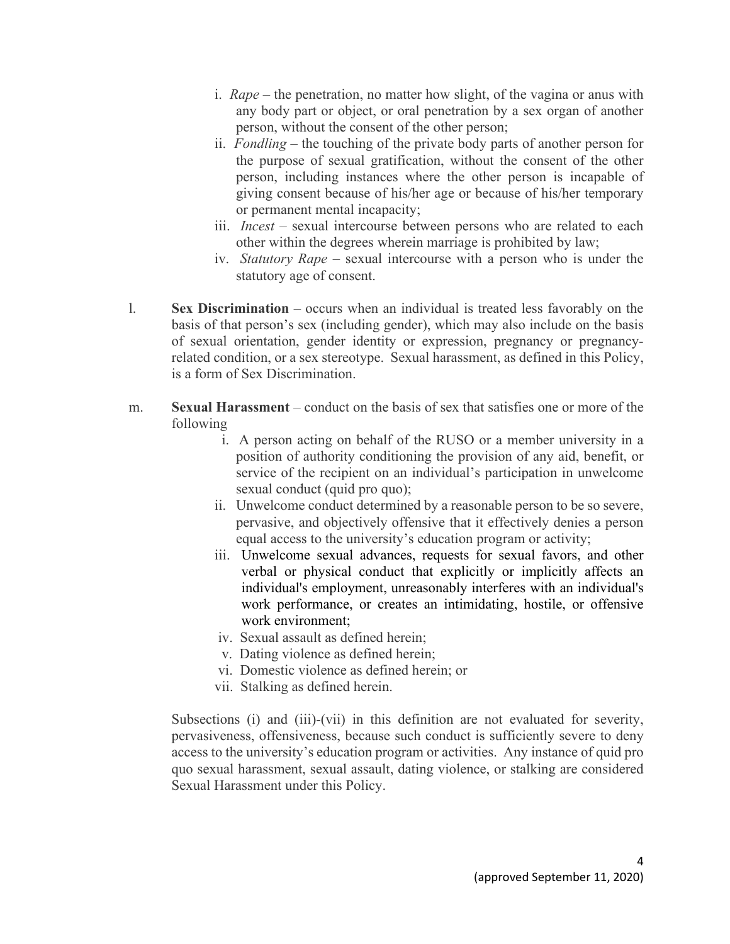- i. *Rape* the penetration, no matter how slight, of the vagina or anus with any body part or object, or oral penetration by a sex organ of another person, without the consent of the other person;
- ii. *Fondling* the touching of the private body parts of another person for the purpose of sexual gratification, without the consent of the other person, including instances where the other person is incapable of giving consent because of his/her age or because of his/her temporary or permanent mental incapacity;
- iii. *Incest* sexual intercourse between persons who are related to each other within the degrees wherein marriage is prohibited by law;
- iv. *Statutory Rape*  sexual intercourse with a person who is under the statutory age of consent.
- l. **Sex Discrimination**  occurs when an individual is treated less favorably on the basis of that person's sex (including gender), which may also include on the basis of sexual orientation, gender identity or expression, pregnancy or pregnancyrelated condition, or a sex stereotype. Sexual harassment, as defined in this Policy, is a form of Sex Discrimination.
- m. **Sexual Harassment**  conduct on the basis of sex that satisfies one or more of the following
	- i. A person acting on behalf of the RUSO or a member university in a position of authority conditioning the provision of any aid, benefit, or service of the recipient on an individual's participation in unwelcome sexual conduct (quid pro quo);
	- ii. Unwelcome conduct determined by a reasonable person to be so severe, pervasive, and objectively offensive that it effectively denies a person equal access to the university's education program or activity;
	- iii. Unwelcome sexual advances, requests for sexual favors, and other verbal or physical conduct that explicitly or implicitly affects an individual's employment, unreasonably interferes with an individual's work performance, or creates an intimidating, hostile, or offensive work environment;
	- iv. Sexual assault as defined herein;
	- v. Dating violence as defined herein;
	- vi. Domestic violence as defined herein; or
	- vii. Stalking as defined herein.

Subsections (i) and (iii)-(vii) in this definition are not evaluated for severity, pervasiveness, offensiveness, because such conduct is sufficiently severe to deny access to the university's education program or activities. Any instance of quid pro quo sexual harassment, sexual assault, dating violence, or stalking are considered Sexual Harassment under this Policy.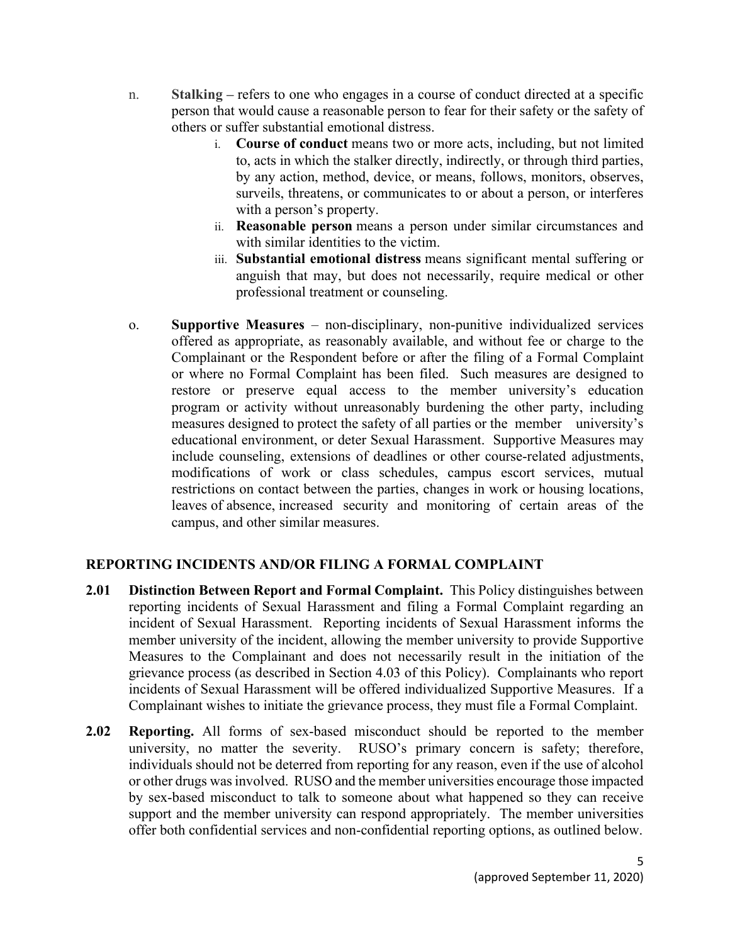- n. **Stalking –** refers to one who engages in a course of conduct directed at a specific person that would cause a reasonable person to fear for their safety or the safety of others or suffer substantial emotional distress.
	- i. **Course of conduct** means two or more acts, including, but not limited to, acts in which the stalker directly, indirectly, or through third parties, by any action, method, device, or means, follows, monitors, observes, surveils, threatens, or communicates to or about a person, or interferes with a person's property.
	- ii. **Reasonable person** means a person under similar circumstances and with similar identities to the victim.
	- iii. **Substantial emotional distress** means significant mental suffering or anguish that may, but does not necessarily, require medical or other professional treatment or counseling.
- o. **Supportive Measures** non-disciplinary, non-punitive individualized services offered as appropriate, as reasonably available, and without fee or charge to the Complainant or the Respondent before or after the filing of a Formal Complaint or where no Formal Complaint has been filed. Such measures are designed to restore or preserve equal access to the member university's education program or activity without unreasonably burdening the other party, including measures designed to protect the safety of all parties or the member university's educational environment, or deter Sexual Harassment. Supportive Measures may include counseling, extensions of deadlines or other course-related adjustments, modifications of work or class schedules, campus escort services, mutual restrictions on contact between the parties, changes in work or housing locations, leaves of absence, increased security and monitoring of certain areas of the campus, and other similar measures.

## **REPORTING INCIDENTS AND/OR FILING A FORMAL COMPLAINT**

- **2.01 Distinction Between Report and Formal Complaint.** This Policy distinguishes between reporting incidents of Sexual Harassment and filing a Formal Complaint regarding an incident of Sexual Harassment. Reporting incidents of Sexual Harassment informs the member university of the incident, allowing the member university to provide Supportive Measures to the Complainant and does not necessarily result in the initiation of the grievance process (as described in Section 4.03 of this Policy). Complainants who report incidents of Sexual Harassment will be offered individualized Supportive Measures. If a Complainant wishes to initiate the grievance process, they must file a Formal Complaint.
- **2.02 Reporting.** All forms of sex-based misconduct should be reported to the member university, no matter the severity. RUSO's primary concern is safety; therefore, individuals should not be deterred from reporting for any reason, even if the use of alcohol or other drugs was involved. RUSO and the member universities encourage those impacted by sex-based misconduct to talk to someone about what happened so they can receive support and the member university can respond appropriately. The member universities offer both confidential services and non-confidential reporting options, as outlined below.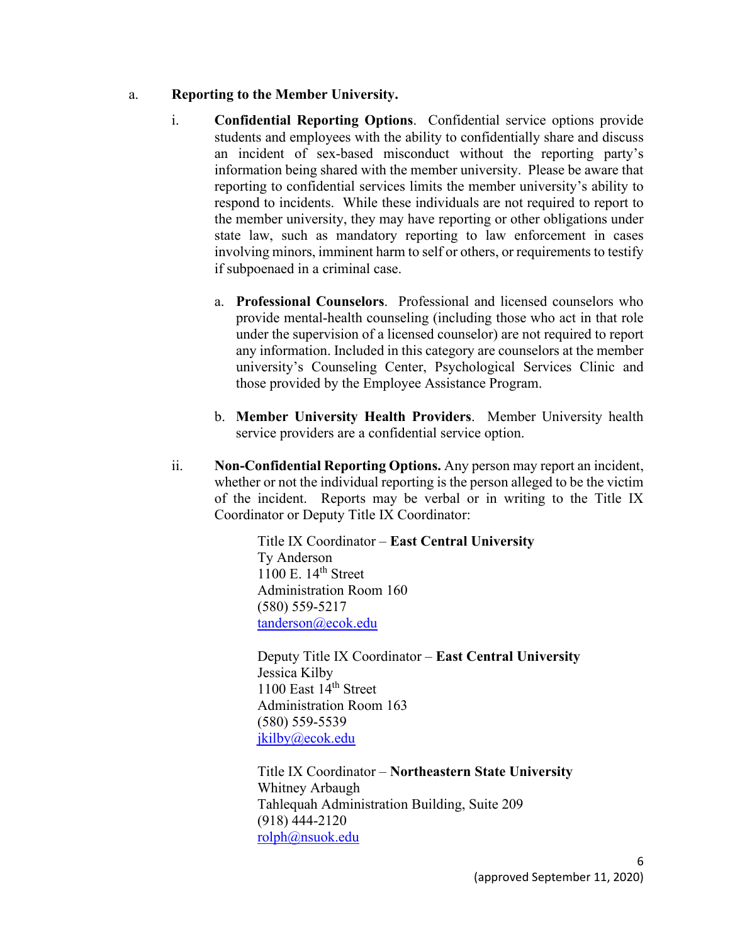- a. **Reporting to the Member University.**
	- i. **Confidential Reporting Options**. Confidential service options provide students and employees with the ability to confidentially share and discuss an incident of sex-based misconduct without the reporting party's information being shared with the member university. Please be aware that reporting to confidential services limits the member university's ability to respond to incidents. While these individuals are not required to report to the member university, they may have reporting or other obligations under state law, such as mandatory reporting to law enforcement in cases involving minors, imminent harm to self or others, or requirements to testify if subpoenaed in a criminal case.
		- a. **Professional Counselors**. Professional and licensed counselors who provide mental-health counseling (including those who act in that role under the supervision of a licensed counselor) are not required to report any information. Included in this category are counselors at the member university's Counseling Center, Psychological Services Clinic and those provided by the Employee Assistance Program.
		- b. **Member University Health Providers**. Member University health service providers are a confidential service option.
	- ii. **Non-Confidential Reporting Options.** Any person may report an incident, whether or not the individual reporting is the person alleged to be the victim of the incident. Reports may be verbal or in writing to the Title IX Coordinator or Deputy Title IX Coordinator:

Title IX Coordinator – **East Central University** Ty Anderson  $1100$  E.  $14<sup>th</sup>$  Street Administration Room 160 (580) 559-5217 [tanderson@ecok.edu](mailto:tanderson@ecok.edu)

Deputy Title IX Coordinator – **East Central University** Jessica Kilby 1100 East 14<sup>th</sup> Street Administration Room 163 (580) [559-5539](tel:580-559-5539) [jkilby@ecok.edu](mailto:jkilby@ecok.edu)

Title IX Coordinator – **Northeastern State University** Whitney Arbaugh Tahlequah Administration Building, Suite 209 (918) 444-2120 [rolph@nsuok.edu](mailto:rolph@nsuok.edu)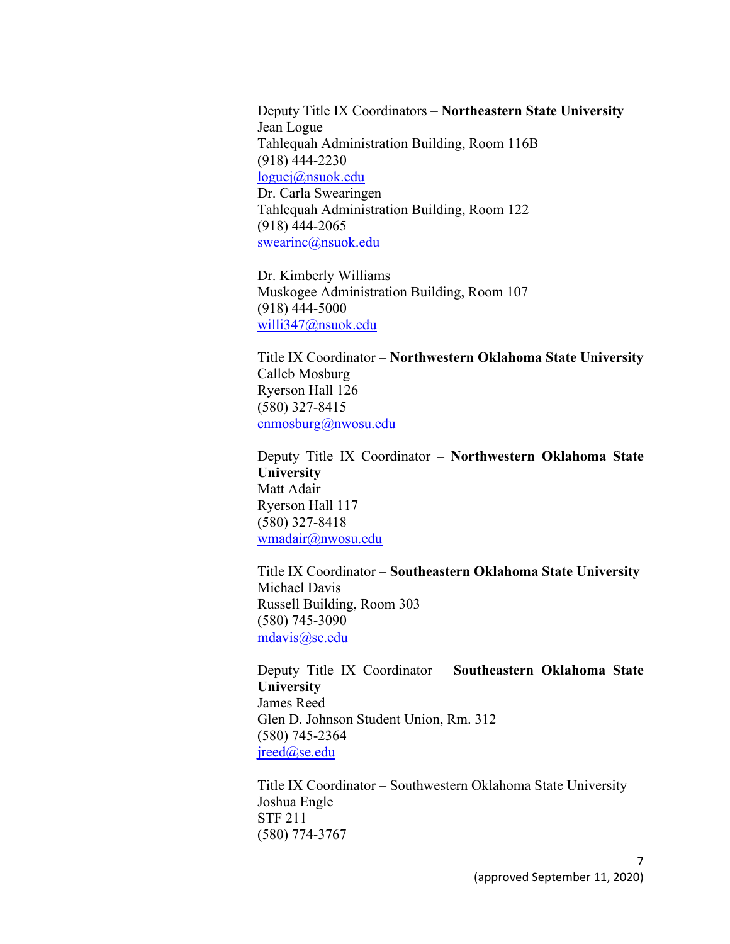Deputy Title IX Coordinators – **Northeastern State University** Jean Logue Tahlequah Administration Building, Room 116B (918) 444-2230 [loguej@nsuok.edu](mailto:loguej@nsuok.edu) Dr. Carla Swearingen Tahlequah Administration Building, Room 122 (918) 444-2065 [swearinc@nsuok.edu](mailto:swearinc@nsuok.edu)

Dr. Kimberly Williams Muskogee Administration Building, Room 107 (918) 444-5000 [willi347@nsuok.edu](mailto:willi347@nsuok.edu)

Title IX Coordinator – **Northwestern Oklahoma State University** Calleb Mosburg Ryerson Hall 126 (580) 327-8415 [cnmosburg@nwosu.edu](mailto:cnmosburg@nwosu.edu)

Deputy Title IX Coordinator – **Northwestern Oklahoma State University** Matt Adair Ryerson Hall 117 (580) 327-8418 [wmadair@nwosu.edu](mailto:wmadair@nwosu.edu)

Title IX Coordinator – **Southeastern Oklahoma State University** Michael Davis Russell Building, Room 303 (580) 745-3090 [mdavis@se.edu](mailto:mdavis@se.edu)

Deputy Title IX Coordinator – **Southeastern Oklahoma State University** James Reed Glen D. Johnson Student Union, Rm. 312 (580) 745-2364 [jreed@se.edu](mailto:jreed@se.edu)

Title IX Coordinator – Southwestern Oklahoma State University Joshua Engle STF 211 (580) 774-3767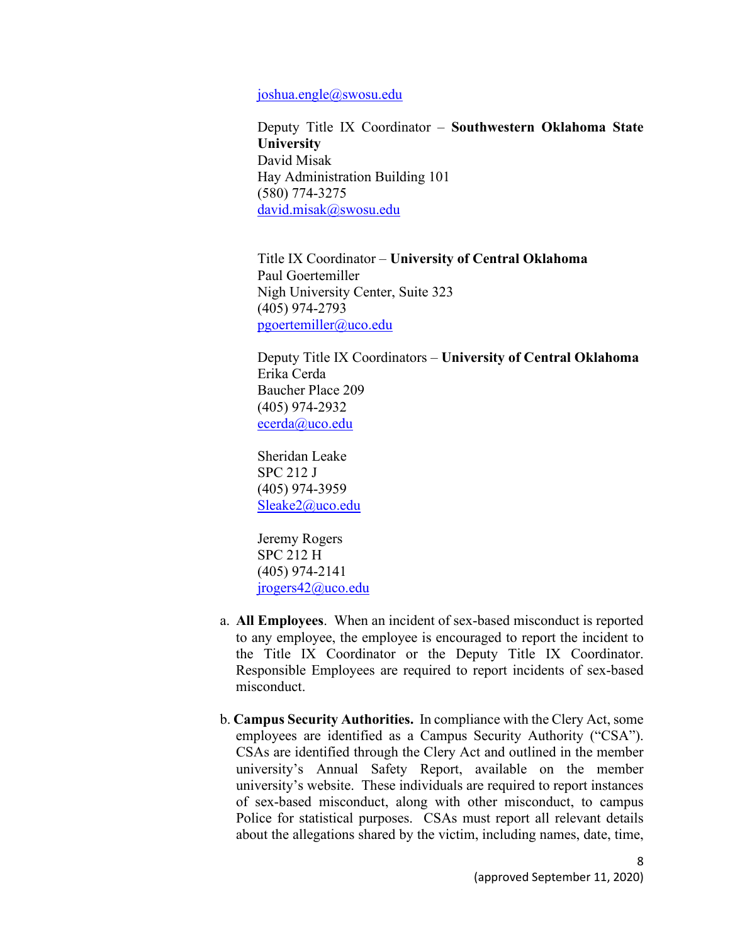#### [joshua.engle@swosu.edu](mailto:joshua.engle@swosu.edu)

Deputy Title IX Coordinator – **Southwestern Oklahoma State University** David Misak Hay Administration Building 101 (580) 774-3275 [david.misak@swosu.edu](mailto:david.misak@swosu.edu)

Title IX Coordinator – **University of Central Oklahoma** Paul Goertemiller Nigh University Center, Suite 323 (405) 974-2793 [pgoertemiller@uco.edu](mailto:pgoertemiller@uco.edu)

Deputy Title IX Coordinators – **University of Central Oklahoma** Erika Cerda Baucher Place 209 (405) 974-2932 [ecerda@uco.edu](mailto:ecerda@uco.edu)

Sheridan Leake SPC 212 J (405) 974-3959 [Sleake2@uco.edu](mailto:Sleake2@uco.edu)

Jeremy Rogers SPC 212 H (405) 974-2141 [jrogers42@uco.edu](mailto:jrogers42@uco.edu)

- a. **All Employees**. When an incident of sex-based misconduct is reported to any employee, the employee is encouraged to report the incident to the Title IX Coordinator or the Deputy Title IX Coordinator. Responsible Employees are required to report incidents of sex-based misconduct.
- b. **Campus Security Authorities.** In compliance with the Clery Act, some employees are identified as a Campus Security Authority ("CSA"). CSAs are identified through the Clery Act and outlined in the member university's Annual Safety Report, available on the member university's website. These individuals are required to report instances of sex-based misconduct, along with other misconduct, to campus Police for statistical purposes. CSAs must report all relevant details about the allegations shared by the victim, including names, date, time,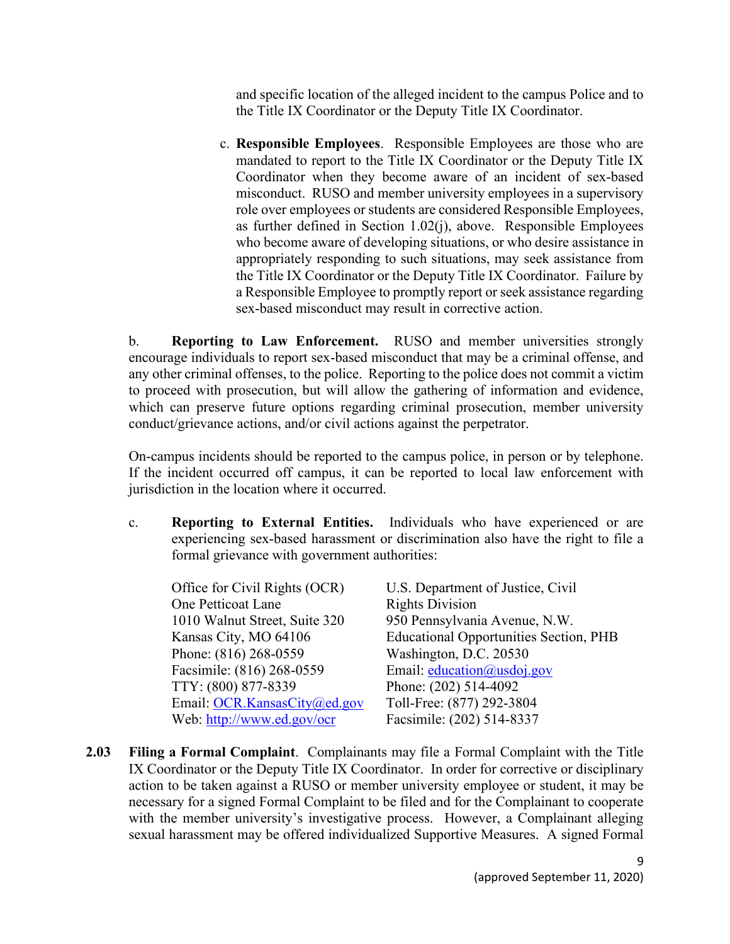and specific location of the alleged incident to the campus Police and to the Title IX Coordinator or the Deputy Title IX Coordinator.

c. **Responsible Employees**. Responsible Employees are those who are mandated to report to the Title IX Coordinator or the Deputy Title IX Coordinator when they become aware of an incident of sex-based misconduct. RUSO and member university employees in a supervisory role over employees or students are considered Responsible Employees, as further defined in Section 1.02(j), above. Responsible Employees who become aware of developing situations, or who desire assistance in appropriately responding to such situations, may seek assistance from the Title IX Coordinator or the Deputy Title IX Coordinator. Failure by a Responsible Employee to promptly report or seek assistance regarding sex-based misconduct may result in corrective action.

b. **Reporting to Law Enforcement.** RUSO and member universities strongly encourage individuals to report sex-based misconduct that may be a criminal offense, and any other criminal offenses, to the police. Reporting to the police does not commit a victim to proceed with prosecution, but will allow the gathering of information and evidence, which can preserve future options regarding criminal prosecution, member university conduct/grievance actions, and/or civil actions against the perpetrator.

On-campus incidents should be reported to the campus police, in person or by telephone. If the incident occurred off campus, it can be reported to local law enforcement with jurisdiction in the location where it occurred.

c. **Reporting to External Entities.** Individuals who have experienced or are experiencing sex-based harassment or discrimination also have the right to file a formal grievance with government authorities:

| U.S. Department of Justice, Civil             |
|-----------------------------------------------|
| <b>Rights Division</b>                        |
| 950 Pennsylvania Avenue, N.W.                 |
| <b>Educational Opportunities Section, PHB</b> |
| Washington, D.C. 20530                        |
| Email: education@usdoj.gov                    |
| Phone: (202) 514-4092                         |
| Toll-Free: (877) 292-3804                     |
| Facsimile: (202) 514-8337                     |
|                                               |

**2.03 Filing a Formal Complaint**. Complainants may file a Formal Complaint with the Title IX Coordinator or the Deputy Title IX Coordinator. In order for corrective or disciplinary action to be taken against a RUSO or member university employee or student, it may be necessary for a signed Formal Complaint to be filed and for the Complainant to cooperate with the member university's investigative process. However, a Complainant alleging sexual harassment may be offered individualized Supportive Measures. A signed Formal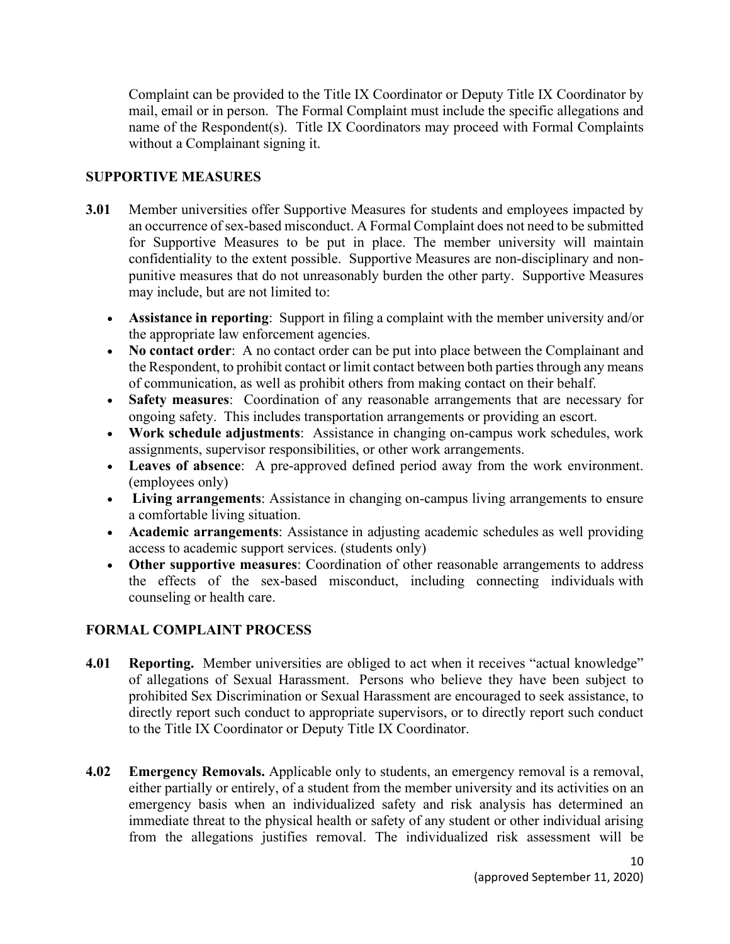Complaint can be provided to the Title IX Coordinator or Deputy Title IX Coordinator by mail, email or in person. The Formal Complaint must include the specific allegations and name of the Respondent(s). Title IX Coordinators may proceed with Formal Complaints without a Complainant signing it.

#### **SUPPORTIVE MEASURES**

- **3.01** Member universities offer Supportive Measures for students and employees impacted by an occurrence of sex-based misconduct. A Formal Complaint does not need to be submitted for Supportive Measures to be put in place. The member university will maintain confidentiality to the extent possible. Supportive Measures are non-disciplinary and nonpunitive measures that do not unreasonably burden the other party. Supportive Measures may include, but are not limited to:
	- **Assistance in reporting**: Support in filing a complaint with the member university and/or the appropriate law enforcement agencies.
	- **No contact order**: A no contact order can be put into place between the Complainant and the Respondent, to prohibit contact or limit contact between both parties through any means of communication, as well as prohibit others from making contact on their behalf.
	- **Safety measures**: Coordination of any reasonable arrangements that are necessary for ongoing safety. This includes transportation arrangements or providing an escort.
	- **Work schedule adjustments**: Assistance in changing on-campus work schedules, work assignments, supervisor responsibilities, or other work arrangements.
	- **Leaves of absence**: A pre-approved defined period away from the work environment. (employees only)
	- **Living arrangements**: Assistance in changing on-campus living arrangements to ensure a comfortable living situation.
	- **Academic arrangements**: Assistance in adjusting academic schedules as well providing access to academic support services. (students only)
	- **Other supportive measures**: Coordination of other reasonable arrangements to address the effects of the sex-based misconduct, including connecting individuals with counseling or health care.

## **FORMAL COMPLAINT PROCESS**

- **4.01 Reporting.** Member universities are obliged to act when it receives "actual knowledge" of allegations of Sexual Harassment. Persons who believe they have been subject to prohibited Sex Discrimination or Sexual Harassment are encouraged to seek assistance, to directly report such conduct to appropriate supervisors, or to directly report such conduct to the Title IX Coordinator or Deputy Title IX Coordinator.
- **4.02 Emergency Removals.** Applicable only to students, an emergency removal is a removal, either partially or entirely, of a student from the member university and its activities on an emergency basis when an individualized safety and risk analysis has determined an immediate threat to the physical health or safety of any student or other individual arising from the allegations justifies removal. The individualized risk assessment will be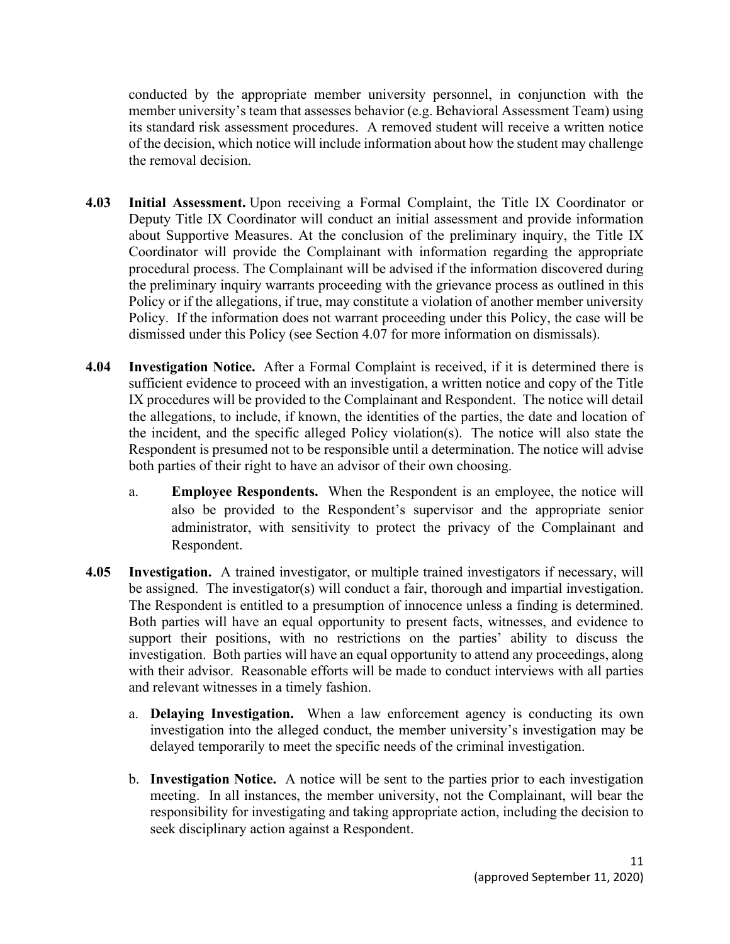conducted by the appropriate member university personnel, in conjunction with the member university's team that assesses behavior (e.g. Behavioral Assessment Team) using its standard risk assessment procedures. A removed student will receive a written notice of the decision, which notice will include information about how the student may challenge the removal decision.

- **4.03 Initial Assessment.** Upon receiving a Formal Complaint, the Title IX Coordinator or Deputy Title IX Coordinator will conduct an initial assessment and provide information about Supportive Measures. At the conclusion of the preliminary inquiry, the Title IX Coordinator will provide the Complainant with information regarding the appropriate procedural process. The Complainant will be advised if the information discovered during the preliminary inquiry warrants proceeding with the grievance process as outlined in this Policy or if the allegations, if true, may constitute a violation of another member university Policy. If the information does not warrant proceeding under this Policy, the case will be dismissed under this Policy (see Section 4.07 for more information on dismissals).
- **4.04 Investigation Notice.** After a Formal Complaint is received, if it is determined there is sufficient evidence to proceed with an investigation, a written notice and copy of the Title IX procedures will be provided to the Complainant and Respondent. The notice will detail the allegations, to include, if known, the identities of the parties, the date and location of the incident, and the specific alleged Policy violation(s). The notice will also state the Respondent is presumed not to be responsible until a determination. The notice will advise both parties of their right to have an advisor of their own choosing.
	- a. **Employee Respondents.** When the Respondent is an employee, the notice will also be provided to the Respondent's supervisor and the appropriate senior administrator, with sensitivity to protect the privacy of the Complainant and Respondent.
- **4.05 Investigation.** A trained investigator, or multiple trained investigators if necessary, will be assigned. The investigator(s) will conduct a fair, thorough and impartial investigation. The Respondent is entitled to a presumption of innocence unless a finding is determined. Both parties will have an equal opportunity to present facts, witnesses, and evidence to support their positions, with no restrictions on the parties' ability to discuss the investigation. Both parties will have an equal opportunity to attend any proceedings, along with their advisor. Reasonable efforts will be made to conduct interviews with all parties and relevant witnesses in a timely fashion.
	- a. **Delaying Investigation.** When a law enforcement agency is conducting its own investigation into the alleged conduct, the member university's investigation may be delayed temporarily to meet the specific needs of the criminal investigation.
	- b. **Investigation Notice.** A notice will be sent to the parties prior to each investigation meeting. In all instances, the member university, not the Complainant, will bear the responsibility for investigating and taking appropriate action, including the decision to seek disciplinary action against a Respondent.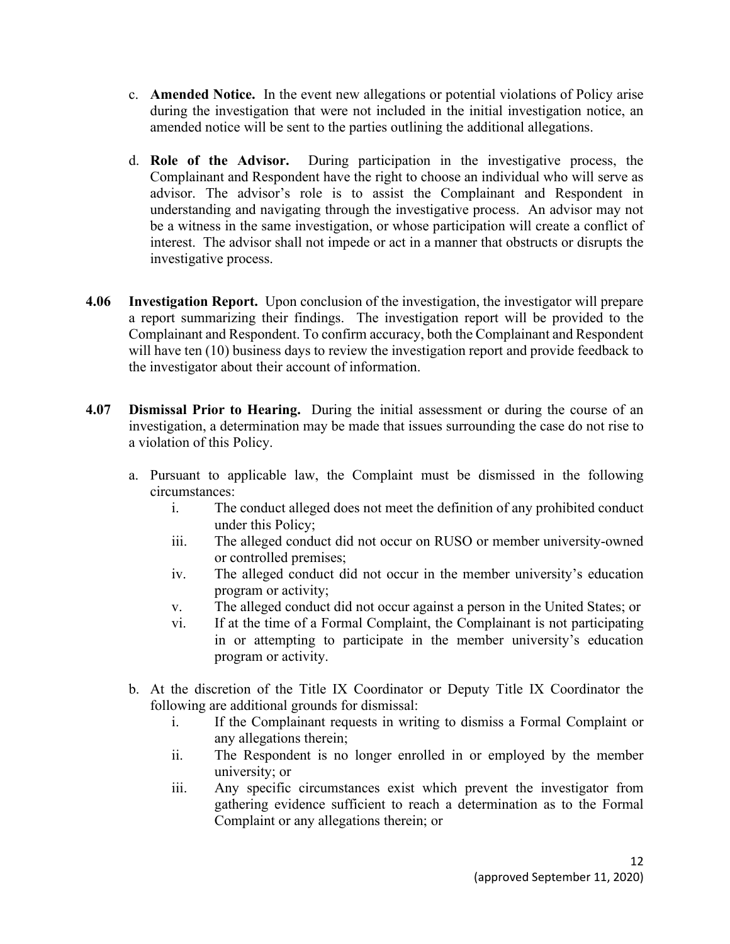- c. **Amended Notice.** In the event new allegations or potential violations of Policy arise during the investigation that were not included in the initial investigation notice, an amended notice will be sent to the parties outlining the additional allegations.
- d. **Role of the Advisor.** During participation in the investigative process, the Complainant and Respondent have the right to choose an individual who will serve as advisor. The advisor's role is to assist the Complainant and Respondent in understanding and navigating through the investigative process. An advisor may not be a witness in the same investigation, or whose participation will create a conflict of interest. The advisor shall not impede or act in a manner that obstructs or disrupts the investigative process.
- **4.06 Investigation Report.** Upon conclusion of the investigation, the investigator will prepare a report summarizing their findings. The investigation report will be provided to the Complainant and Respondent. To confirm accuracy, both the Complainant and Respondent will have ten (10) business days to review the investigation report and provide feedback to the investigator about their account of information.
- **4.07 Dismissal Prior to Hearing.** During the initial assessment or during the course of an investigation, a determination may be made that issues surrounding the case do not rise to a violation of this Policy.
	- a. Pursuant to applicable law, the Complaint must be dismissed in the following circumstances:
		- i. The conduct alleged does not meet the definition of any prohibited conduct under this Policy;
		- iii. The alleged conduct did not occur on RUSO or member university-owned or controlled premises;
		- iv. The alleged conduct did not occur in the member university's education program or activity;
		- v. The alleged conduct did not occur against a person in the United States; or
		- vi. If at the time of a Formal Complaint, the Complainant is not participating in or attempting to participate in the member university's education program or activity.
	- b. At the discretion of the Title IX Coordinator or Deputy Title IX Coordinator the following are additional grounds for dismissal:
		- i. If the Complainant requests in writing to dismiss a Formal Complaint or any allegations therein;
		- ii. The Respondent is no longer enrolled in or employed by the member university; or
		- iii. Any specific circumstances exist which prevent the investigator from gathering evidence sufficient to reach a determination as to the Formal Complaint or any allegations therein; or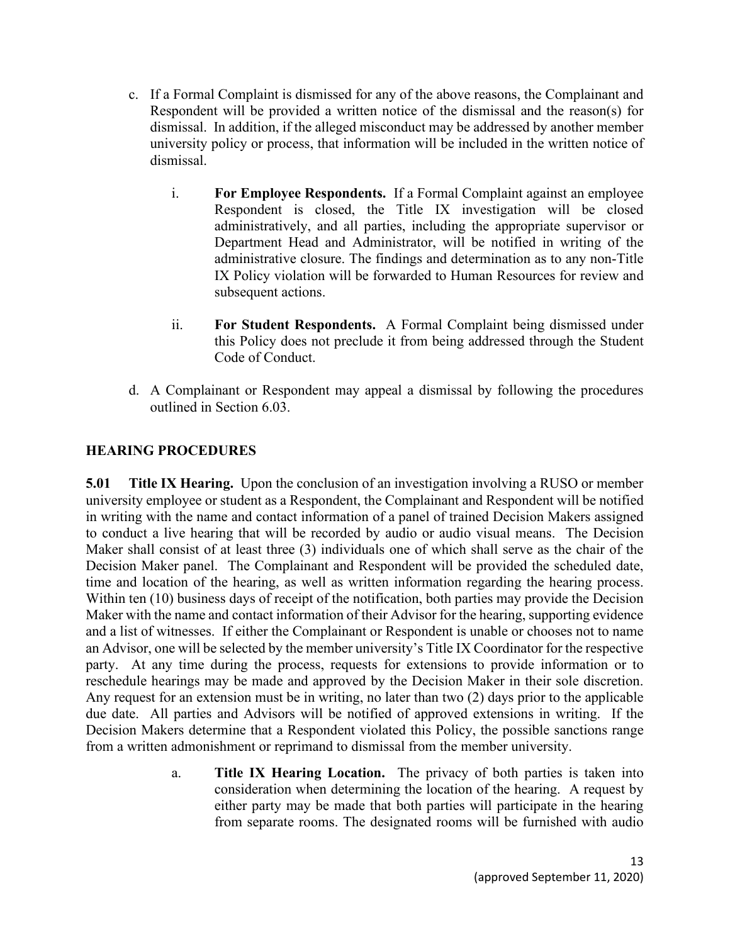- c. If a Formal Complaint is dismissed for any of the above reasons, the Complainant and Respondent will be provided a written notice of the dismissal and the reason(s) for dismissal. In addition, if the alleged misconduct may be addressed by another member university policy or process, that information will be included in the written notice of dismissal.
	- i. **For Employee Respondents.** If a Formal Complaint against an employee Respondent is closed, the Title IX investigation will be closed administratively, and all parties, including the appropriate supervisor or Department Head and Administrator, will be notified in writing of the administrative closure. The findings and determination as to any non-Title IX Policy violation will be forwarded to Human Resources for review and subsequent actions.
	- ii. **For Student Respondents.** A Formal Complaint being dismissed under this Policy does not preclude it from being addressed through the Student Code of Conduct.
- d. A Complainant or Respondent may appeal a dismissal by following the procedures outlined in Section 6.03.

#### **HEARING PROCEDURES**

**5.01 Title IX Hearing.** Upon the conclusion of an investigation involving a RUSO or member university employee or student as a Respondent, the Complainant and Respondent will be notified in writing with the name and contact information of a panel of trained Decision Makers assigned to conduct a live hearing that will be recorded by audio or audio visual means. The Decision Maker shall consist of at least three (3) individuals one of which shall serve as the chair of the Decision Maker panel. The Complainant and Respondent will be provided the scheduled date, time and location of the hearing, as well as written information regarding the hearing process. Within ten (10) business days of receipt of the notification, both parties may provide the Decision Maker with the name and contact information of their Advisor for the hearing, supporting evidence and a list of witnesses. If either the Complainant or Respondent is unable or chooses not to name an Advisor, one will be selected by the member university's Title IX Coordinator for the respective party. At any time during the process, requests for extensions to provide information or to reschedule hearings may be made and approved by the Decision Maker in their sole discretion. Any request for an extension must be in writing, no later than two (2) days prior to the applicable due date. All parties and Advisors will be notified of approved extensions in writing. If the Decision Makers determine that a Respondent violated this Policy, the possible sanctions range from a written admonishment or reprimand to dismissal from the member university.

> a. **Title IX Hearing Location.** The privacy of both parties is taken into consideration when determining the location of the hearing. A request by either party may be made that both parties will participate in the hearing from separate rooms. The designated rooms will be furnished with audio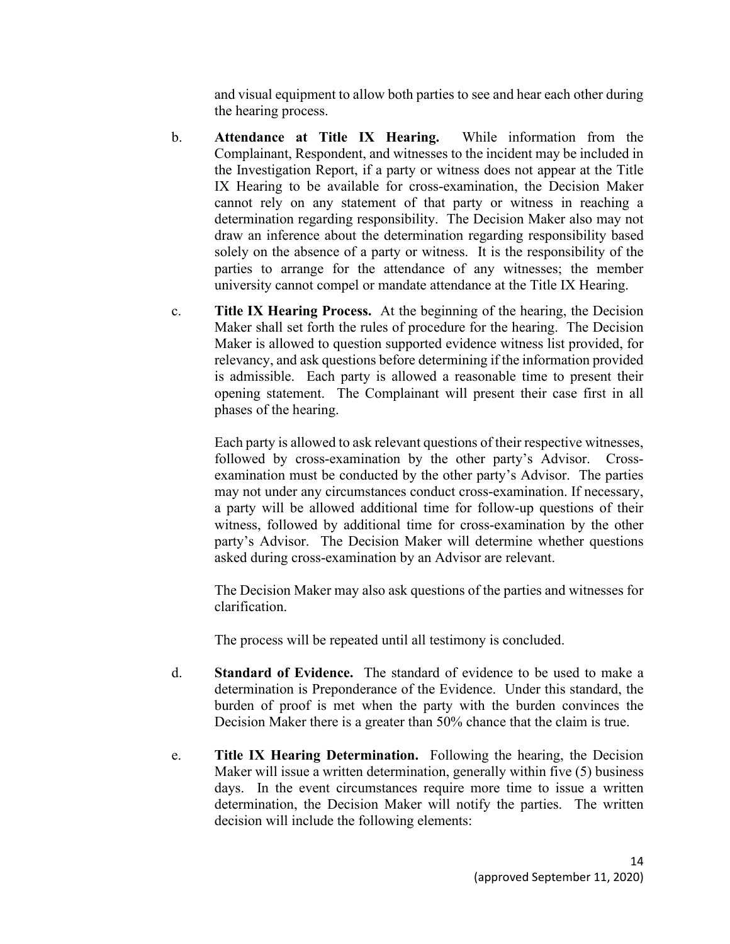and visual equipment to allow both parties to see and hear each other during the hearing process.

- b. **Attendance at Title IX Hearing.** While information from the Complainant, Respondent, and witnesses to the incident may be included in the Investigation Report, if a party or witness does not appear at the Title IX Hearing to be available for cross-examination, the Decision Maker cannot rely on any statement of that party or witness in reaching a determination regarding responsibility. The Decision Maker also may not draw an inference about the determination regarding responsibility based solely on the absence of a party or witness. It is the responsibility of the parties to arrange for the attendance of any witnesses; the member university cannot compel or mandate attendance at the Title IX Hearing.
- c. **Title IX Hearing Process.** At the beginning of the hearing, the Decision Maker shall set forth the rules of procedure for the hearing. The Decision Maker is allowed to question supported evidence witness list provided, for relevancy, and ask questions before determining if the information provided is admissible. Each party is allowed a reasonable time to present their opening statement. The Complainant will present their case first in all phases of the hearing.

Each party is allowed to ask relevant questions of their respective witnesses, followed by cross-examination by the other party's Advisor. Crossexamination must be conducted by the other party's Advisor. The parties may not under any circumstances conduct cross-examination. If necessary, a party will be allowed additional time for follow-up questions of their witness, followed by additional time for cross-examination by the other party's Advisor. The Decision Maker will determine whether questions asked during cross-examination by an Advisor are relevant.

The Decision Maker may also ask questions of the parties and witnesses for clarification.

The process will be repeated until all testimony is concluded.

- d. **Standard of Evidence.** The standard of evidence to be used to make a determination is Preponderance of the Evidence. Under this standard, the burden of proof is met when the party with the burden convinces the Decision Maker there is a greater than 50% chance that the claim is true.
- e. **Title IX Hearing Determination.** Following the hearing, the Decision Maker will issue a written determination, generally within five (5) business days. In the event circumstances require more time to issue a written determination, the Decision Maker will notify the parties. The written decision will include the following elements: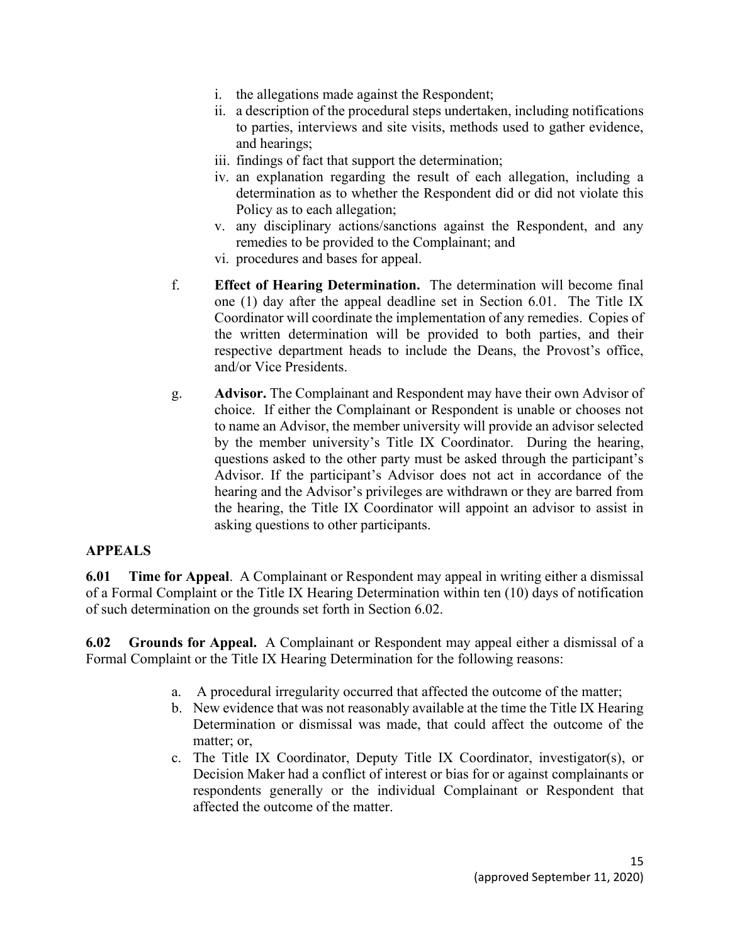- i. the allegations made against the Respondent;
- ii. a description of the procedural steps undertaken, including notifications to parties, interviews and site visits, methods used to gather evidence, and hearings;
- iii. findings of fact that support the determination;
- iv. an explanation regarding the result of each allegation, including a determination as to whether the Respondent did or did not violate this Policy as to each allegation;
- v. any disciplinary actions/sanctions against the Respondent, and any remedies to be provided to the Complainant; and
- vi. procedures and bases for appeal.
- f. **Effect of Hearing Determination.** The determination will become final one (1) day after the appeal deadline set in Section 6.01. The Title IX Coordinator will coordinate the implementation of any remedies. Copies of the written determination will be provided to both parties, and their respective department heads to include the Deans, the Provost's office, and/or Vice Presidents.
- g. **Advisor.** The Complainant and Respondent may have their own Advisor of choice. If either the Complainant or Respondent is unable or chooses not to name an Advisor, the member university will provide an advisor selected by the member university's Title IX Coordinator. During the hearing, questions asked to the other party must be asked through the participant's Advisor. If the participant's Advisor does not act in accordance of the hearing and the Advisor's privileges are withdrawn or they are barred from the hearing, the Title IX Coordinator will appoint an advisor to assist in asking questions to other participants.

## **APPEALS**

**6.01 Time for Appeal**. A Complainant or Respondent may appeal in writing either a dismissal of a Formal Complaint or the Title IX Hearing Determination within ten (10) days of notification of such determination on the grounds set forth in Section 6.02.

**6.02 Grounds for Appeal.** A Complainant or Respondent may appeal either a dismissal of a Formal Complaint or the Title IX Hearing Determination for the following reasons:

- a. A procedural irregularity occurred that affected the outcome of the matter;
- b. New evidence that was not reasonably available at the time the Title IX Hearing Determination or dismissal was made, that could affect the outcome of the matter; or,
- c. The Title IX Coordinator, Deputy Title IX Coordinator, investigator(s), or Decision Maker had a conflict of interest or bias for or against complainants or respondents generally or the individual Complainant or Respondent that affected the outcome of the matter.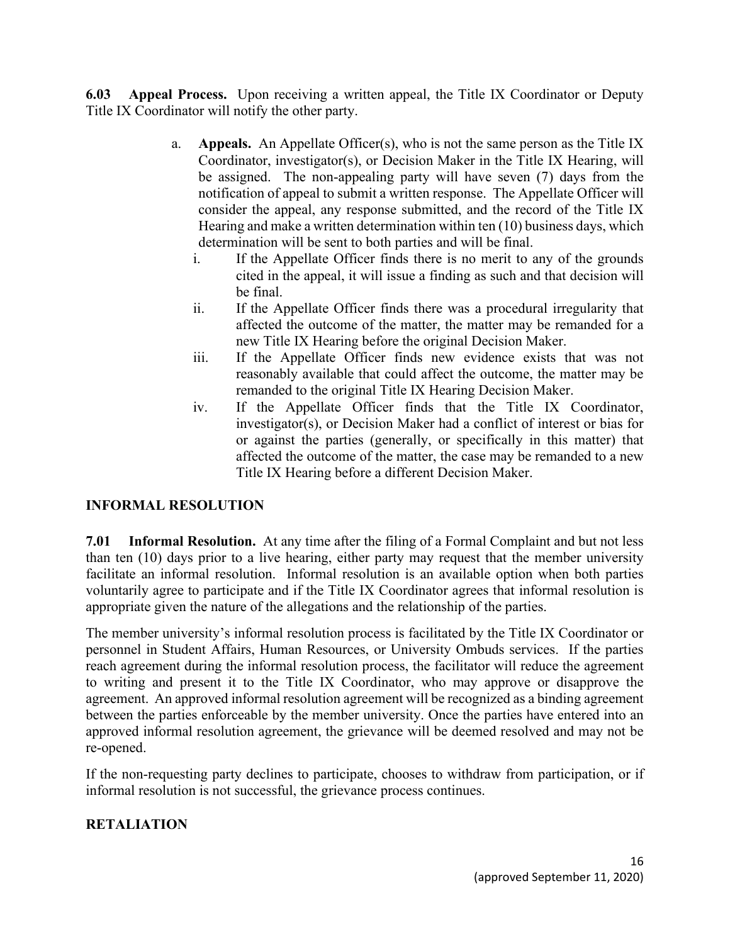**6.03 Appeal Process.** Upon receiving a written appeal, the Title IX Coordinator or Deputy Title IX Coordinator will notify the other party.

- a. **Appeals.** An Appellate Officer(s), who is not the same person as the Title IX Coordinator, investigator(s), or Decision Maker in the Title IX Hearing, will be assigned. The non-appealing party will have seven (7) days from the notification of appeal to submit a written response. The Appellate Officer will consider the appeal, any response submitted, and the record of the Title IX Hearing and make a written determination within ten (10) business days, which determination will be sent to both parties and will be final.
	- i. If the Appellate Officer finds there is no merit to any of the grounds cited in the appeal, it will issue a finding as such and that decision will be final.
	- ii. If the Appellate Officer finds there was a procedural irregularity that affected the outcome of the matter, the matter may be remanded for a new Title IX Hearing before the original Decision Maker.
	- iii. If the Appellate Officer finds new evidence exists that was not reasonably available that could affect the outcome, the matter may be remanded to the original Title IX Hearing Decision Maker.
	- iv. If the Appellate Officer finds that the Title IX Coordinator, investigator(s), or Decision Maker had a conflict of interest or bias for or against the parties (generally, or specifically in this matter) that affected the outcome of the matter, the case may be remanded to a new Title IX Hearing before a different Decision Maker.

## **INFORMAL RESOLUTION**

**7.01 Informal Resolution.** At any time after the filing of a Formal Complaint and but not less than ten (10) days prior to a live hearing, either party may request that the member university facilitate an informal resolution. Informal resolution is an available option when both parties voluntarily agree to participate and if the Title IX Coordinator agrees that informal resolution is appropriate given the nature of the allegations and the relationship of the parties.

The member university's informal resolution process is facilitated by the Title IX Coordinator or personnel in Student Affairs, Human Resources, or University Ombuds services. If the parties reach agreement during the informal resolution process, the facilitator will reduce the agreement to writing and present it to the Title IX Coordinator, who may approve or disapprove the agreement. An approved informal resolution agreement will be recognized as a binding agreement between the parties enforceable by the member university. Once the parties have entered into an approved informal resolution agreement, the grievance will be deemed resolved and may not be re-opened.

If the non-requesting party declines to participate, chooses to withdraw from participation, or if informal resolution is not successful, the grievance process continues.

## **RETALIATION**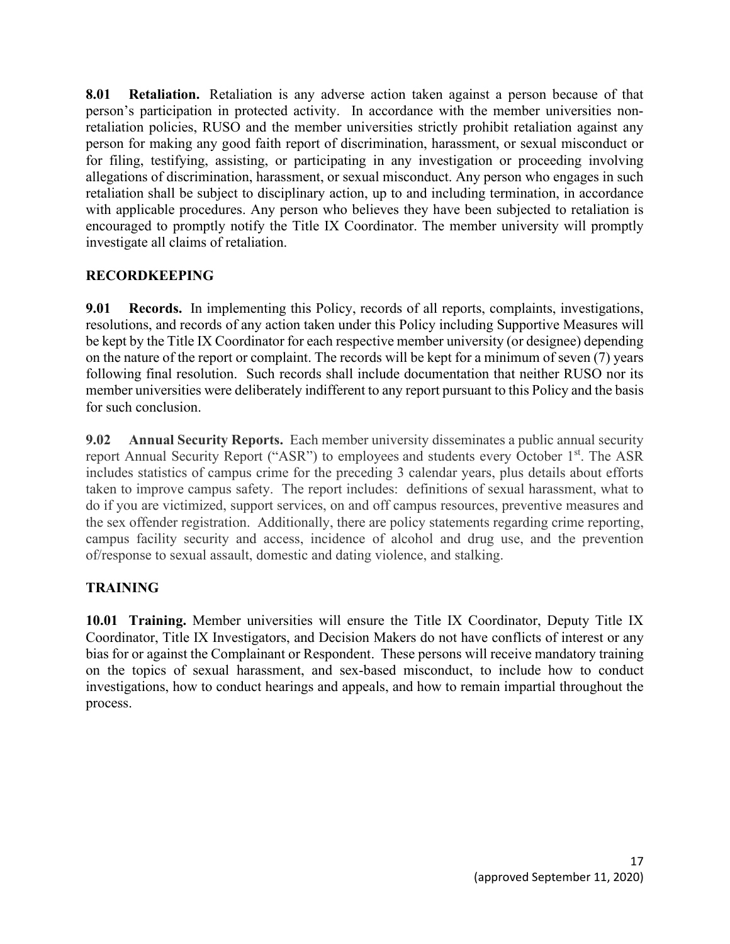**8.01 Retaliation.** Retaliation is any adverse action taken against a person because of that person's participation in protected activity. In accordance with the member universities nonretaliation policies, RUSO and the member universities strictly prohibit retaliation against any person for making any good faith report of discrimination, harassment, or sexual misconduct or for filing, testifying, assisting, or participating in any investigation or proceeding involving allegations of discrimination, harassment, or sexual misconduct. Any person who engages in such retaliation shall be subject to disciplinary action, up to and including termination, in accordance with applicable procedures. Any person who believes they have been subjected to retaliation is encouraged to promptly notify the Title IX Coordinator. The member university will promptly investigate all claims of retaliation.

## **RECORDKEEPING**

**9.01 Records.** In implementing this Policy, records of all reports, complaints, investigations, resolutions, and records of any action taken under this Policy including Supportive Measures will be kept by the Title IX Coordinator for each respective member university (or designee) depending on the nature of the report or complaint. The records will be kept for a minimum of seven (7) years following final resolution. Such records shall include documentation that neither RUSO nor its member universities were deliberately indifferent to any report pursuant to this Policy and the basis for such conclusion.

**9.02 Annual Security Reports.** Each member university disseminates a public annual security report Annual Security Report ("ASR") to employees and students every October 1<sup>st</sup>. The ASR includes statistics of campus crime for the preceding 3 calendar years, plus details about efforts taken to improve campus safety. The report includes: definitions of sexual harassment, what to do if you are victimized, support services, on and off campus resources, preventive measures and the sex offender registration. Additionally, there are policy statements regarding crime reporting, campus facility security and access, incidence of alcohol and drug use, and the prevention of/response to sexual assault, domestic and dating violence, and stalking.

# **TRAINING**

**10.01 Training.** Member universities will ensure the Title IX Coordinator, Deputy Title IX Coordinator, Title IX Investigators, and Decision Makers do not have conflicts of interest or any bias for or against the Complainant or Respondent. These persons will receive mandatory training on the topics of sexual harassment, and sex-based misconduct, to include how to conduct investigations, how to conduct hearings and appeals, and how to remain impartial throughout the process.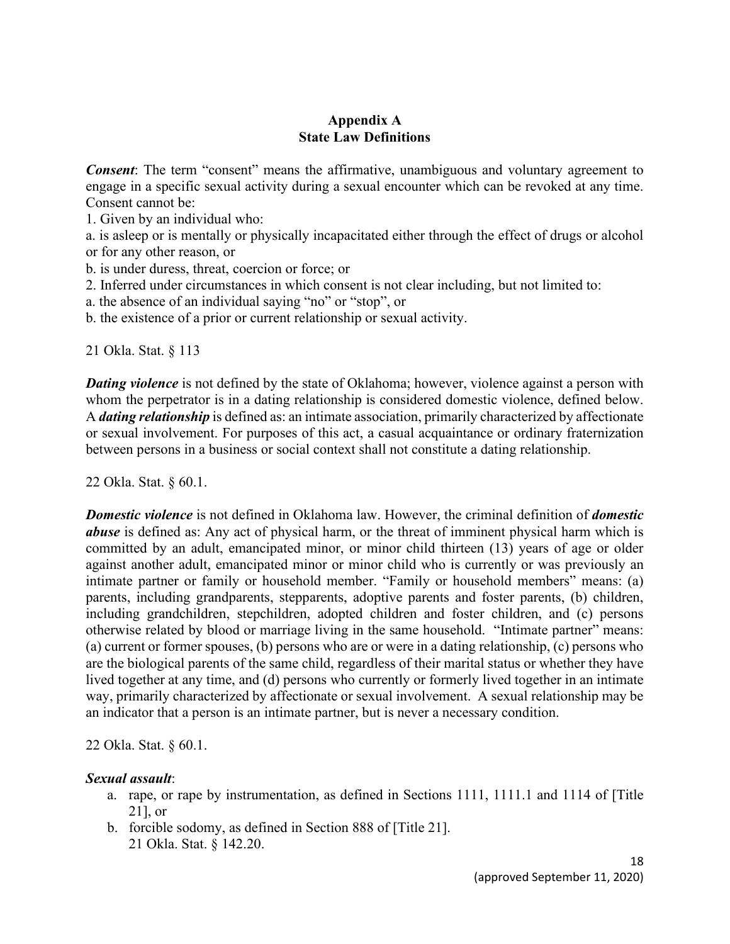#### **Appendix A State Law Definitions**

**Consent:** The term "consent" means the affirmative, unambiguous and voluntary agreement to engage in a specific sexual activity during a sexual encounter which can be revoked at any time. Consent cannot be:

1. Given by an individual who:

a. is asleep or is mentally or physically incapacitated either through the effect of drugs or alcohol or for any other reason, or

b. is under duress, threat, coercion or force; or

2. Inferred under circumstances in which consent is not clear including, but not limited to:

a. the absence of an individual saying "no" or "stop", or

b. the existence of a prior or current relationship or sexual activity.

21 Okla. Stat. § 113

*Dating violence* is not defined by the state of Oklahoma; however, violence against a person with whom the perpetrator is in a dating relationship is considered domestic violence, defined below. A *dating relationship* is defined as: an intimate association, primarily characterized by affectionate or sexual involvement. For purposes of this act, a casual acquaintance or ordinary fraternization between persons in a business or social context shall not constitute a dating relationship.

22 Okla. Stat. § 60.1.

*Domestic violence* is not defined in Oklahoma law. However, the criminal definition of *domestic abuse* is defined as: Any act of physical harm, or the threat of imminent physical harm which is committed by an adult, emancipated minor, or minor child thirteen (13) years of age or older against another adult, emancipated minor or minor child who is currently or was previously an intimate partner or family or household member. "Family or household members" means: (a) parents, including grandparents, stepparents, adoptive parents and foster parents, (b) children, including grandchildren, stepchildren, adopted children and foster children, and (c) persons otherwise related by blood or marriage living in the same household. "Intimate partner" means: (a) current or former spouses, (b) persons who are or were in a dating relationship, (c) persons who are the biological parents of the same child, regardless of their marital status or whether they have lived together at any time, and (d) persons who currently or formerly lived together in an intimate way, primarily characterized by affectionate or sexual involvement. A sexual relationship may be an indicator that a person is an intimate partner, but is never a necessary condition.

22 Okla. Stat. § 60.1.

#### *Sexual assault*:

- a. rape, or rape by instrumentation, as defined in Sections 1111, 1111.1 and 1114 of [Title 21], or
- b. forcible sodomy, as defined in Section 888 of [Title 21]. 21 Okla. Stat. § 142.20.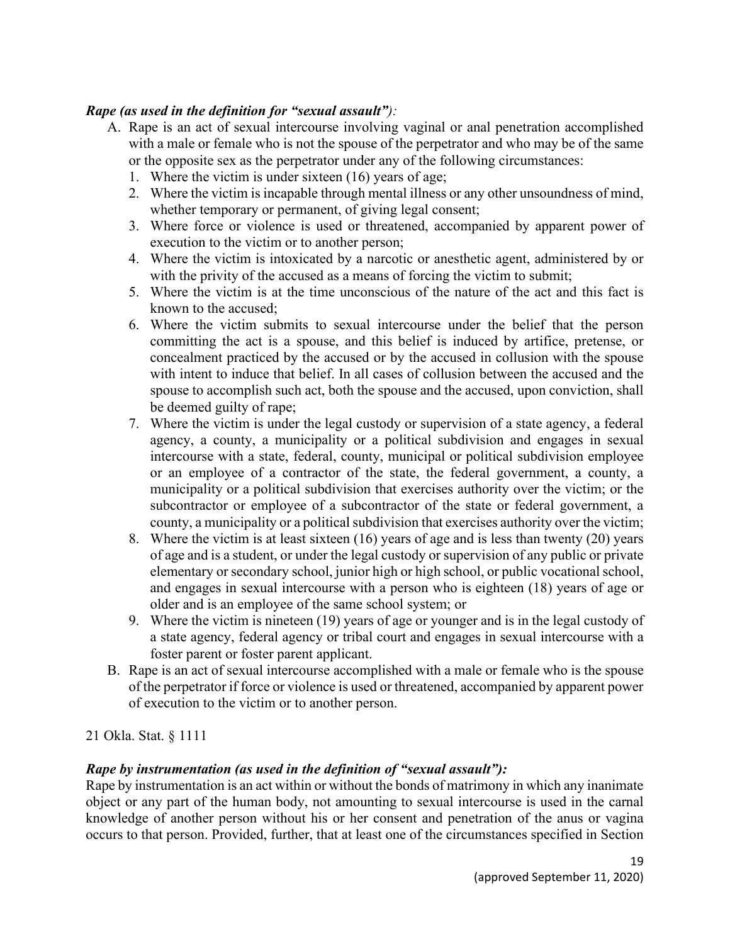#### *Rape (as used in the definition for "sexual assault"):*

- A. Rape is an act of sexual intercourse involving vaginal or anal penetration accomplished with a male or female who is not the spouse of the perpetrator and who may be of the same or the opposite sex as the perpetrator under any of the following circumstances:
	- 1. Where the victim is under sixteen (16) years of age;
	- 2. Where the victim is incapable through mental illness or any other unsoundness of mind, whether temporary or permanent, of giving legal consent;
	- 3. Where force or violence is used or threatened, accompanied by apparent power of execution to the victim or to another person;
	- 4. Where the victim is intoxicated by a narcotic or anesthetic agent, administered by or with the privity of the accused as a means of forcing the victim to submit;
	- 5. Where the victim is at the time unconscious of the nature of the act and this fact is known to the accused;
	- 6. Where the victim submits to sexual intercourse under the belief that the person committing the act is a spouse, and this belief is induced by artifice, pretense, or concealment practiced by the accused or by the accused in collusion with the spouse with intent to induce that belief. In all cases of collusion between the accused and the spouse to accomplish such act, both the spouse and the accused, upon conviction, shall be deemed guilty of rape;
	- 7. Where the victim is under the legal custody or supervision of a state agency, a federal agency, a county, a municipality or a political subdivision and engages in sexual intercourse with a state, federal, county, municipal or political subdivision employee or an employee of a contractor of the state, the federal government, a county, a municipality or a political subdivision that exercises authority over the victim; or the subcontractor or employee of a subcontractor of the state or federal government, a county, a municipality or a political subdivision that exercises authority over the victim;
	- 8. Where the victim is at least sixteen (16) years of age and is less than twenty (20) years of age and is a student, or under the legal custody or supervision of any public or private elementary or secondary school, junior high or high school, or public vocational school, and engages in sexual intercourse with a person who is eighteen (18) years of age or older and is an employee of the same school system; or
	- 9. Where the victim is nineteen (19) years of age or younger and is in the legal custody of a state agency, federal agency or tribal court and engages in sexual intercourse with a foster parent or foster parent applicant.
- B. Rape is an act of sexual intercourse accomplished with a male or female who is the spouse of the perpetrator if force or violence is used or threatened, accompanied by apparent power of execution to the victim or to another person.

21 Okla. Stat. § 1111

#### *Rape by instrumentation (as used in the definition of "sexual assault"):*

Rape by instrumentation is an act within or without the bonds of matrimony in which any inanimate object or any part of the human body, not amounting to sexual intercourse is used in the carnal knowledge of another person without his or her consent and penetration of the anus or vagina occurs to that person. Provided, further, that at least one of the circumstances specified in Section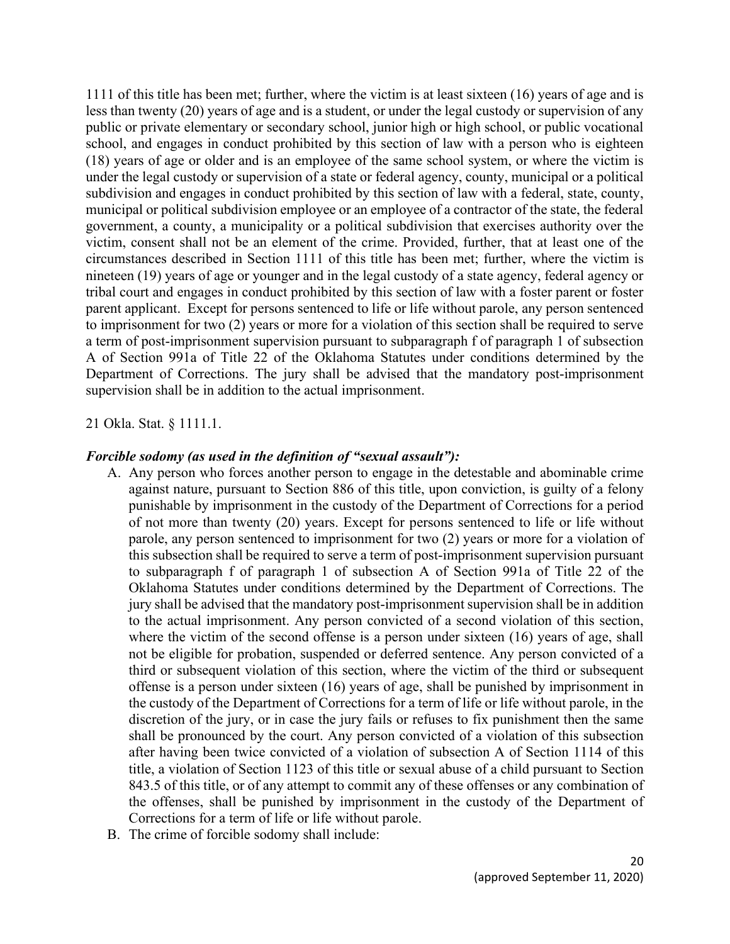1111 of this title has been met; further, where the victim is at least sixteen (16) years of age and is less than twenty (20) years of age and is a student, or under the legal custody or supervision of any public or private elementary or secondary school, junior high or high school, or public vocational school, and engages in conduct prohibited by this section of law with a person who is eighteen (18) years of age or older and is an employee of the same school system, or where the victim is under the legal custody or supervision of a state or federal agency, county, municipal or a political subdivision and engages in conduct prohibited by this section of law with a federal, state, county, municipal or political subdivision employee or an employee of a contractor of the state, the federal government, a county, a municipality or a political subdivision that exercises authority over the victim, consent shall not be an element of the crime. Provided, further, that at least one of the circumstances described in Section 1111 of this title has been met; further, where the victim is nineteen (19) years of age or younger and in the legal custody of a state agency, federal agency or tribal court and engages in conduct prohibited by this section of law with a foster parent or foster parent applicant. Except for persons sentenced to life or life without parole, any person sentenced to imprisonment for two (2) years or more for a violation of this section shall be required to serve a term of post-imprisonment supervision pursuant to subparagraph f of paragraph 1 of subsection A of Section 991a of Title 22 of the Oklahoma Statutes under conditions determined by the Department of Corrections. The jury shall be advised that the mandatory post-imprisonment supervision shall be in addition to the actual imprisonment.

21 Okla. Stat. § 1111.1.

#### *Forcible sodomy (as used in the definition of "sexual assault"):*

- A. Any person who forces another person to engage in the detestable and abominable crime against nature, pursuant to Section 886 of this title, upon conviction, is guilty of a felony punishable by imprisonment in the custody of the Department of Corrections for a period of not more than twenty (20) years. Except for persons sentenced to life or life without parole, any person sentenced to imprisonment for two (2) years or more for a violation of this subsection shall be required to serve a term of post-imprisonment supervision pursuant to subparagraph f of paragraph 1 of subsection A of Section 991a of Title 22 of the Oklahoma Statutes under conditions determined by the Department of Corrections. The jury shall be advised that the mandatory post-imprisonment supervision shall be in addition to the actual imprisonment. Any person convicted of a second violation of this section, where the victim of the second offense is a person under sixteen (16) years of age, shall not be eligible for probation, suspended or deferred sentence. Any person convicted of a third or subsequent violation of this section, where the victim of the third or subsequent offense is a person under sixteen (16) years of age, shall be punished by imprisonment in the custody of the Department of Corrections for a term of life or life without parole, in the discretion of the jury, or in case the jury fails or refuses to fix punishment then the same shall be pronounced by the court. Any person convicted of a violation of this subsection after having been twice convicted of a violation of subsection A of Section 1114 of this title, a violation of Section 1123 of this title or sexual abuse of a child pursuant to Section 843.5 of this title, or of any attempt to commit any of these offenses or any combination of the offenses, shall be punished by imprisonment in the custody of the Department of Corrections for a term of life or life without parole.
- B. The crime of forcible sodomy shall include: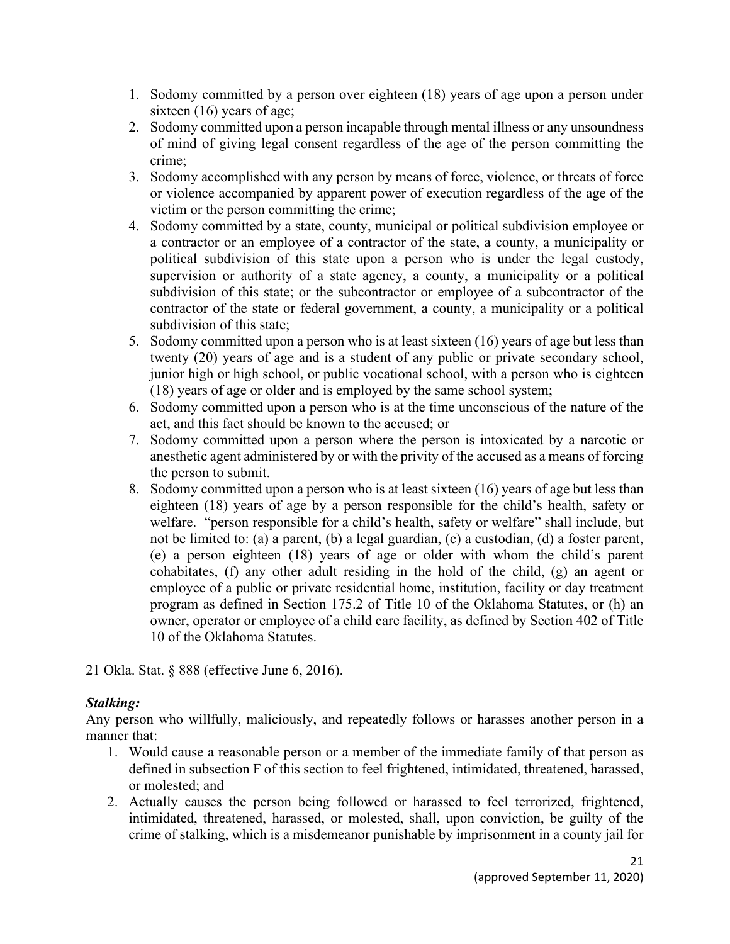- 1. Sodomy committed by a person over eighteen (18) years of age upon a person under sixteen (16) years of age;
- 2. Sodomy committed upon a person incapable through mental illness or any unsoundness of mind of giving legal consent regardless of the age of the person committing the crime;
- 3. Sodomy accomplished with any person by means of force, violence, or threats of force or violence accompanied by apparent power of execution regardless of the age of the victim or the person committing the crime;
- 4. Sodomy committed by a state, county, municipal or political subdivision employee or a contractor or an employee of a contractor of the state, a county, a municipality or political subdivision of this state upon a person who is under the legal custody, supervision or authority of a state agency, a county, a municipality or a political subdivision of this state; or the subcontractor or employee of a subcontractor of the contractor of the state or federal government, a county, a municipality or a political subdivision of this state;
- 5. Sodomy committed upon a person who is at least sixteen (16) years of age but less than twenty (20) years of age and is a student of any public or private secondary school, junior high or high school, or public vocational school, with a person who is eighteen (18) years of age or older and is employed by the same school system;
- 6. Sodomy committed upon a person who is at the time unconscious of the nature of the act, and this fact should be known to the accused; or
- 7. Sodomy committed upon a person where the person is intoxicated by a narcotic or anesthetic agent administered by or with the privity of the accused as a means of forcing the person to submit.
- 8. Sodomy committed upon a person who is at least sixteen (16) years of age but less than eighteen (18) years of age by a person responsible for the child's health, safety or welfare. "person responsible for a child's health, safety or welfare" shall include, but not be limited to: (a) a parent, (b) a legal guardian, (c) a custodian, (d) a foster parent, (e) a person eighteen (18) years of age or older with whom the child's parent cohabitates, (f) any other adult residing in the hold of the child, (g) an agent or employee of a public or private residential home, institution, facility or day treatment program as defined in Section 175.2 of Title 10 of the Oklahoma Statutes, or (h) an owner, operator or employee of a child care facility, as defined by Section 402 of Title 10 of the Oklahoma Statutes.

21 Okla. Stat. § 888 (effective June 6, 2016).

# *Stalking:*

Any person who willfully, maliciously, and repeatedly follows or harasses another person in a manner that:

- 1. Would cause a reasonable person or a member of the immediate family of that person as defined in subsection F of this section to feel frightened, intimidated, threatened, harassed, or molested; and
- 2. Actually causes the person being followed or harassed to feel terrorized, frightened, intimidated, threatened, harassed, or molested, shall, upon conviction, be guilty of the crime of stalking, which is a misdemeanor punishable by imprisonment in a county jail for